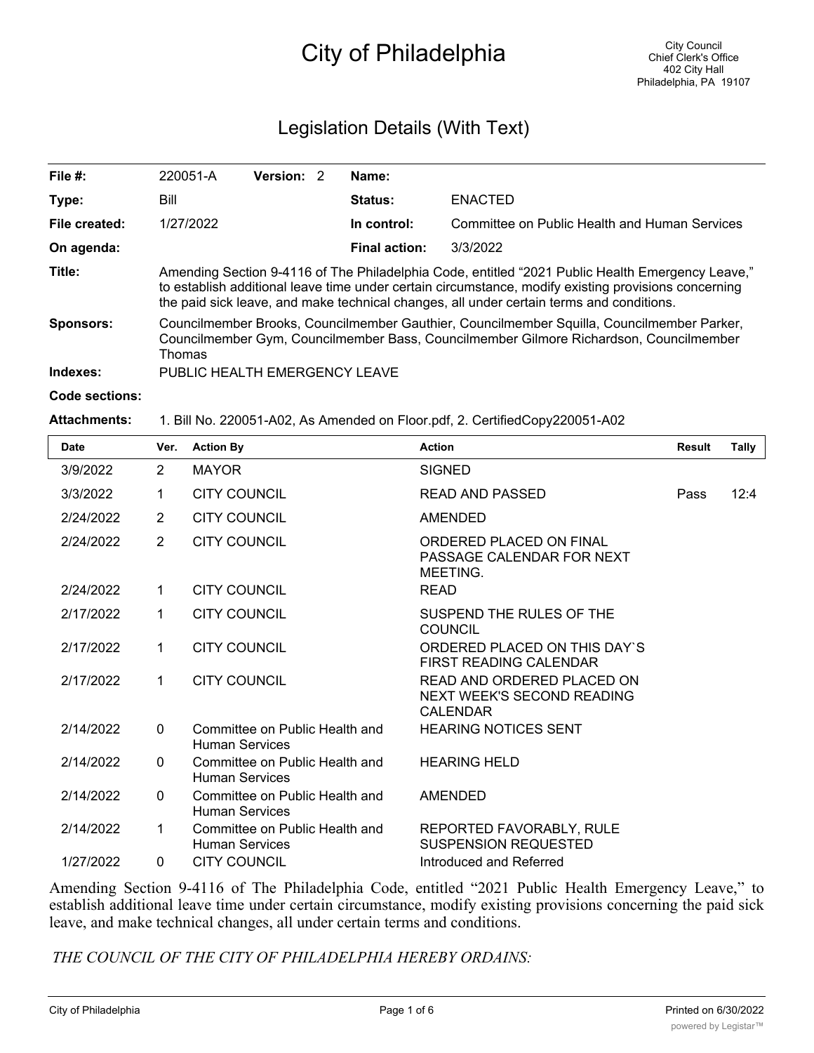# City of Philadelphia

# Legislation Details (With Text)

| File $#$ :           | 220051-A                                                                                                                                                                                                                                                                                              | Version: 2 |  | Name:                |                                               |  |  |  |
|----------------------|-------------------------------------------------------------------------------------------------------------------------------------------------------------------------------------------------------------------------------------------------------------------------------------------------------|------------|--|----------------------|-----------------------------------------------|--|--|--|
| Type:                | Bill                                                                                                                                                                                                                                                                                                  |            |  | <b>Status:</b>       | <b>ENACTED</b>                                |  |  |  |
| File created:        | 1/27/2022                                                                                                                                                                                                                                                                                             |            |  | In control:          | Committee on Public Health and Human Services |  |  |  |
| On agenda:           |                                                                                                                                                                                                                                                                                                       |            |  | <b>Final action:</b> | 3/3/2022                                      |  |  |  |
| Title:               | "Amending Section 9-4116 of The Philadelphia Code, entitled "2021 Public Health Emergency Leave,"<br>to establish additional leave time under certain circumstance, modify existing provisions concerning<br>the paid sick leave, and make technical changes, all under certain terms and conditions. |            |  |                      |                                               |  |  |  |
| Sponsors:            | Councilmember Brooks, Councilmember Gauthier, Councilmember Squilla, Councilmember Parker,<br>Councilmember Gym, Councilmember Bass, Councilmember Gilmore Richardson, Councilmember<br>Thomas                                                                                                        |            |  |                      |                                               |  |  |  |
| Indexes:             | PUBLIC HEALTH EMERGENCY LEAVE                                                                                                                                                                                                                                                                         |            |  |                      |                                               |  |  |  |
| $\sim$ $\sim$ $\sim$ |                                                                                                                                                                                                                                                                                                       |            |  |                      |                                               |  |  |  |

#### **Code sections:**

#### **Attachments:** 1. Bill No. 220051-A02, As Amended on Floor.pdf, 2. CertifiedCopy220051-A02

| Date      | Ver.           | <b>Action By</b>                                        | <b>Action</b>                                                               | <b>Result</b> | <b>Tally</b> |
|-----------|----------------|---------------------------------------------------------|-----------------------------------------------------------------------------|---------------|--------------|
| 3/9/2022  | $\overline{2}$ | <b>MAYOR</b>                                            | <b>SIGNED</b>                                                               |               |              |
| 3/3/2022  | 1              | <b>CITY COUNCIL</b>                                     | <b>READ AND PASSED</b>                                                      | Pass          | 12:4         |
| 2/24/2022 | $\overline{2}$ | <b>CITY COUNCIL</b>                                     | <b>AMENDED</b>                                                              |               |              |
| 2/24/2022 | $\overline{2}$ | <b>CITY COUNCIL</b>                                     | ORDERED PLACED ON FINAL<br>PASSAGE CALENDAR FOR NEXT<br>MEETING.            |               |              |
| 2/24/2022 | $\mathbf 1$    | <b>CITY COUNCIL</b>                                     | <b>READ</b>                                                                 |               |              |
| 2/17/2022 | 1              | <b>CITY COUNCIL</b>                                     | SUSPEND THE RULES OF THE<br><b>COUNCIL</b>                                  |               |              |
| 2/17/2022 | $\mathbf 1$    | <b>CITY COUNCIL</b>                                     | ORDERED PLACED ON THIS DAY'S<br><b>FIRST READING CALENDAR</b>               |               |              |
| 2/17/2022 | 1              | <b>CITY COUNCIL</b>                                     | READ AND ORDERED PLACED ON<br>NEXT WEEK'S SECOND READING<br><b>CALENDAR</b> |               |              |
| 2/14/2022 | $\Omega$       | Committee on Public Health and<br><b>Human Services</b> | <b>HEARING NOTICES SENT</b>                                                 |               |              |
| 2/14/2022 | $\Omega$       | Committee on Public Health and<br><b>Human Services</b> | <b>HEARING HELD</b>                                                         |               |              |
| 2/14/2022 | $\Omega$       | Committee on Public Health and<br><b>Human Services</b> | <b>AMENDED</b>                                                              |               |              |
| 2/14/2022 | 1              | Committee on Public Health and<br><b>Human Services</b> | REPORTED FAVORABLY, RULE<br><b>SUSPENSION REQUESTED</b>                     |               |              |
| 1/27/2022 | $\Omega$       | <b>CITY COUNCIL</b>                                     | Introduced and Referred                                                     |               |              |

Amending Section 9-4116 of The Philadelphia Code, entitled "2021 Public Health Emergency Leave," to establish additional leave time under certain circumstance, modify existing provisions concerning the paid sick leave, and make technical changes, all under certain terms and conditions.

*THE COUNCIL OF THE CITY OF PHILADELPHIA HEREBY ORDAINS:*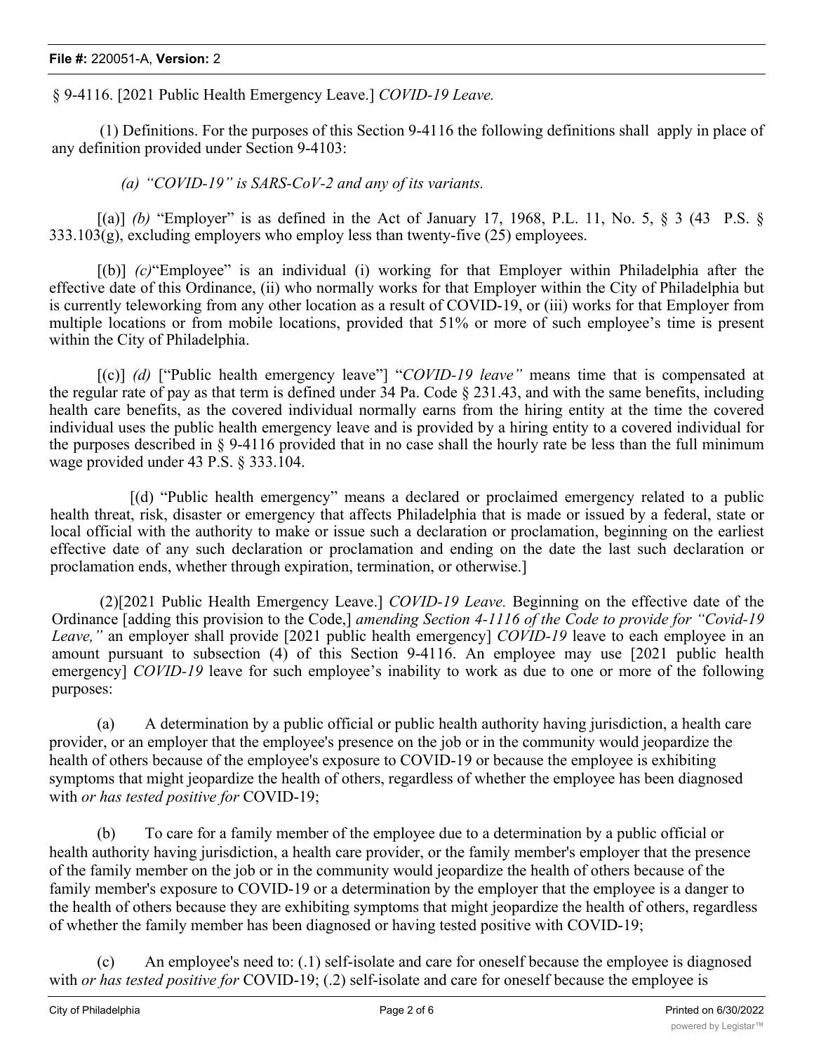§ 9-4116. [2021 Public Health Emergency Leave.] *COVID-19 Leave.*

(1) Definitions. For the purposes of this Section 9-4116 the following definitions shall apply in place of any definition provided under Section 9-4103:

*(a) "COVID-19" is SARS-CoV-2 and any of its variants.*

 $[(a)]$  *(b)* "Employer" is as defined in the Act of January 17, 1968, P.L. 11, No. 5, § 3 (43 P.S. §  $333.103(g)$ , excluding employers who employ less than twenty-five (25) employees.

[(b)] *(c)*"Employee" is an individual (i) working for that Employer within Philadelphia after the effective date of this Ordinance, (ii) who normally works for that Employer within the City of Philadelphia but is currently teleworking from any other location as a result of COVID-19, or (iii) works for that Employer from multiple locations or from mobile locations, provided that 51% or more of such employee's time is present within the City of Philadelphia.

[(c)] *(d)* ["Public health emergency leave"] "*COVID-19 leave"* means time that is compensated at the regular rate of pay as that term is defined under 34 Pa. Code § 231.43, and with the same benefits, including health care benefits, as the covered individual normally earns from the hiring entity at the time the covered individual uses the public health emergency leave and is provided by a hiring entity to a covered individual for the purposes described in § 9-4116 provided that in no case shall the hourly rate be less than the full minimum wage provided under 43 P.S. § 333.104.

[(d) "Public health emergency" means a declared or proclaimed emergency related to a public health threat, risk, disaster or emergency that affects Philadelphia that is made or issued by a federal, state or local official with the authority to make or issue such a declaration or proclamation, beginning on the earliest effective date of any such declaration or proclamation and ending on the date the last such declaration or proclamation ends, whether through expiration, termination, or otherwise.]

(2)[2021 Public Health Emergency Leave.] *COVID-19 Leave.* Beginning on the effective date of the Ordinance [adding this provision to the Code,] *amending Section 4-1116 of the Code to provide for "Covid-19 Leave,"* an employer shall provide [2021 public health emergency] *COVID-19* leave to each employee in an amount pursuant to subsection (4) of this Section 9-4116. An employee may use [2021 public health emergency] *COVID-19* leave for such employee's inability to work as due to one or more of the following purposes:

(a) A determination by a public official or public health authority having jurisdiction, a health care provider, or an employer that the employee's presence on the job or in the community would jeopardize the health of others because of the employee's exposure to COVID-19 or because the employee is exhibiting symptoms that might jeopardize the health of others, regardless of whether the employee has been diagnosed with *or has tested positive for* COVID-19;

(b) To care for a family member of the employee due to a determination by a public official or health authority having jurisdiction, a health care provider, or the family member's employer that the presence of the family member on the job or in the community would jeopardize the health of others because of the family member's exposure to COVID-19 or a determination by the employer that the employee is a danger to the health of others because they are exhibiting symptoms that might jeopardize the health of others, regardless of whether the family member has been diagnosed or having tested positive with COVID-19;

(c) An employee's need to: (.1) self-isolate and care for oneself because the employee is diagnosed with *or has tested positive for* COVID-19; (.2) self-isolate and care for oneself because the employee is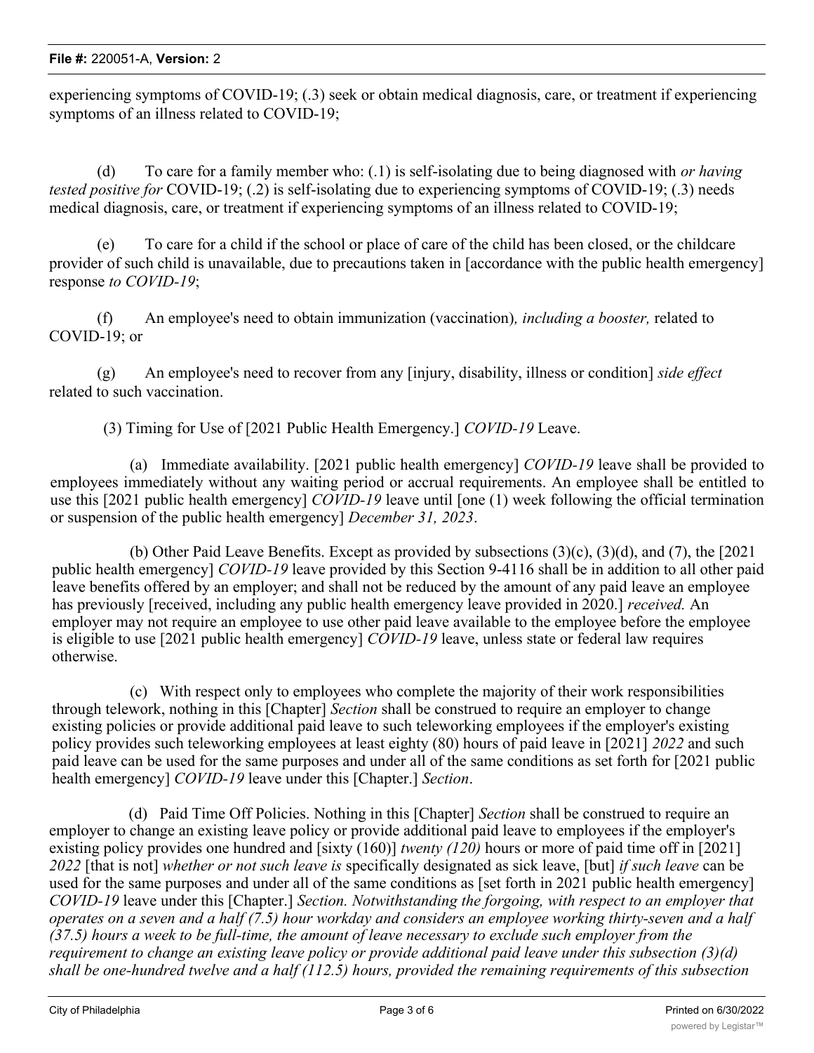experiencing symptoms of COVID-19; (.3) seek or obtain medical diagnosis, care, or treatment if experiencing symptoms of an illness related to COVID-19;

(d) To care for a family member who: (.1) is self-isolating due to being diagnosed with *or having tested positive for* COVID-19; (.2) is self-isolating due to experiencing symptoms of COVID-19; (.3) needs medical diagnosis, care, or treatment if experiencing symptoms of an illness related to COVID-19;

(e) To care for a child if the school or place of care of the child has been closed, or the childcare provider of such child is unavailable, due to precautions taken in [accordance with the public health emergency] response *to COVID-19*;

(f) An employee's need to obtain immunization (vaccination)*, including a booster,* related to COVID-19; or

(g) An employee's need to recover from any [injury, disability, illness or condition] *side effect* related to such vaccination.

(3) Timing for Use of [2021 Public Health Emergency.] *COVID-19* Leave.

(a) Immediate availability. [2021 public health emergency] *COVID-19* leave shall be provided to employees immediately without any waiting period or accrual requirements. An employee shall be entitled to use this [2021 public health emergency] *COVID-19* leave until [one (1) week following the official termination or suspension of the public health emergency] *December 31, 2023*.

(b) Other Paid Leave Benefits. Except as provided by subsections (3)(c), (3)(d), and (7), the [2021 public health emergency] *COVID-19* leave provided by this Section 9-4116 shall be in addition to all other paid leave benefits offered by an employer; and shall not be reduced by the amount of any paid leave an employee has previously [received, including any public health emergency leave provided in 2020.] *received.* An employer may not require an employee to use other paid leave available to the employee before the employee is eligible to use [2021 public health emergency] *COVID-19* leave, unless state or federal law requires otherwise.

(c) With respect only to employees who complete the majority of their work responsibilities through telework, nothing in this [Chapter] *Section* shall be construed to require an employer to change existing policies or provide additional paid leave to such teleworking employees if the employer's existing policy provides such teleworking employees at least eighty (80) hours of paid leave in [2021] *2022* and such paid leave can be used for the same purposes and under all of the same conditions as set forth for [2021 public health emergency] *COVID-19* leave under this [Chapter.] *Section*.

 (d) Paid Time Off Policies. Nothing in this [Chapter] *Section* shall be construed to require an employer to change an existing leave policy or provide additional paid leave to employees if the employer's existing policy provides one hundred and [sixty (160)] *twenty (120)* hours or more of paid time off in [2021] *2022* [that is not] *whether or not such leave is* specifically designated as sick leave, [but] *if such leave* can be used for the same purposes and under all of the same conditions as [set forth in 2021 public health emergency] *COVID-19* leave under this [Chapter.] *Section. Notwithstanding the forgoing, with respect to an employer that operates on a seven and a half (7.5) hour workday and considers an employee working thirty-seven and a half (37.5) hours a week to be full-time, the amount of leave necessary to exclude such employer from the requirement to change an existing leave policy or provide additional paid leave under this subsection (3)(d) shall be one-hundred twelve and a half (112.5) hours, provided the remaining requirements of this subsection*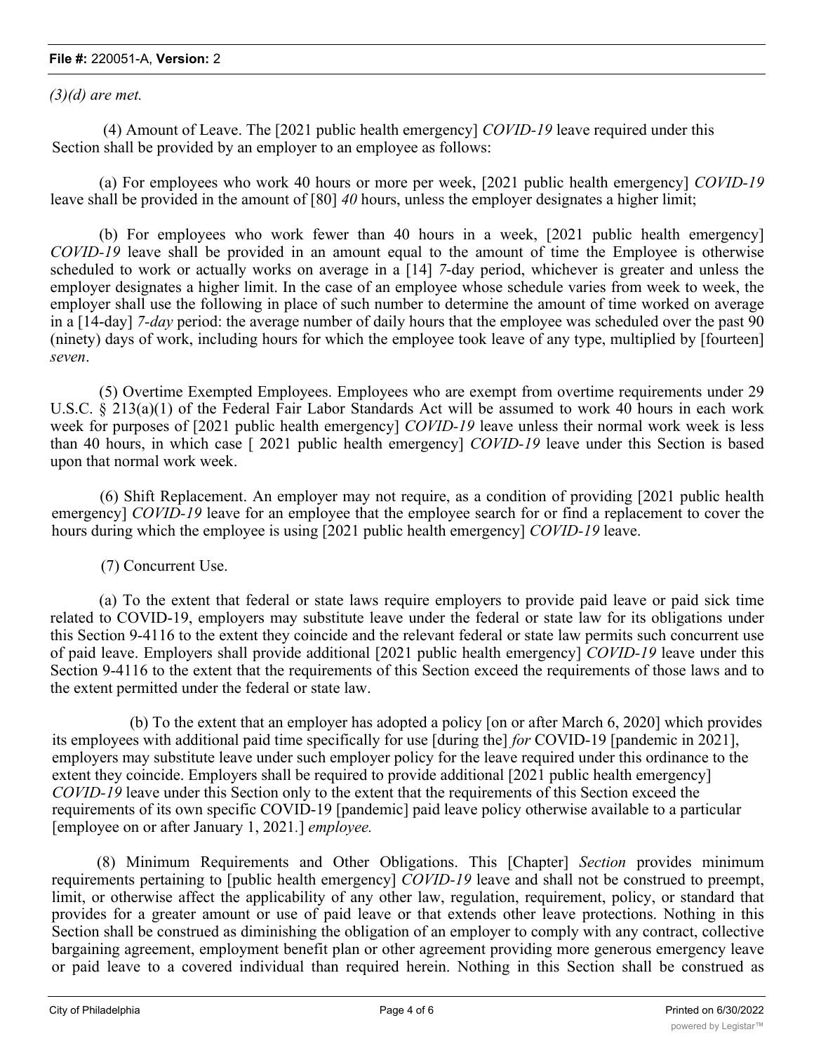## **File #:** 220051-A, **Version:** 2

*(3)(d) are met.*

 (4) Amount of Leave. The [2021 public health emergency] *COVID-19* leave required under this Section shall be provided by an employer to an employee as follows:

(a) For employees who work 40 hours or more per week, [2021 public health emergency] *COVID-19* leave shall be provided in the amount of [80] *40* hours, unless the employer designates a higher limit;

(b) For employees who work fewer than 40 hours in a week, [2021 public health emergency] *COVID-19* leave shall be provided in an amount equal to the amount of time the Employee is otherwise scheduled to work or actually works on average in a [14] *7*-day period, whichever is greater and unless the employer designates a higher limit. In the case of an employee whose schedule varies from week to week, the employer shall use the following in place of such number to determine the amount of time worked on average in a [14-day] *7-day* period: the average number of daily hours that the employee was scheduled over the past 90 (ninety) days of work, including hours for which the employee took leave of any type, multiplied by [fourteen] *seven*.

(5) Overtime Exempted Employees. Employees who are exempt from overtime requirements under 29 U.S.C. § 213(a)(1) of the Federal Fair Labor Standards Act will be assumed to work 40 hours in each work week for purposes of [2021 public health emergency] *COVID-19* leave unless their normal work week is less than 40 hours, in which case [ 2021 public health emergency] *COVID-19* leave under this Section is based upon that normal work week.

(6) Shift Replacement. An employer may not require, as a condition of providing [2021 public health emergency] *COVID-19* leave for an employee that the employee search for or find a replacement to cover the hours during which the employee is using [2021 public health emergency] *COVID-19* leave.

(7) Concurrent Use.

(a) To the extent that federal or state laws require employers to provide paid leave or paid sick time related to COVID-19, employers may substitute leave under the federal or state law for its obligations under this Section 9-4116 to the extent they coincide and the relevant federal or state law permits such concurrent use of paid leave. Employers shall provide additional [2021 public health emergency] *COVID-19* leave under this Section 9-4116 to the extent that the requirements of this Section exceed the requirements of those laws and to the extent permitted under the federal or state law.

(b) To the extent that an employer has adopted a policy [on or after March 6, 2020] which provides its employees with additional paid time specifically for use [during the] *for* COVID-19 [pandemic in 2021], employers may substitute leave under such employer policy for the leave required under this ordinance to the extent they coincide. Employers shall be required to provide additional [2021 public health emergency] *COVID-19* leave under this Section only to the extent that the requirements of this Section exceed the requirements of its own specific COVID-19 [pandemic] paid leave policy otherwise available to a particular [employee on or after January 1, 2021*.*] *employee.*

(8) Minimum Requirements and Other Obligations. This [Chapter] *Section* provides minimum requirements pertaining to [public health emergency] *COVID-19* leave and shall not be construed to preempt, limit, or otherwise affect the applicability of any other law, regulation, requirement, policy, or standard that provides for a greater amount or use of paid leave or that extends other leave protections. Nothing in this Section shall be construed as diminishing the obligation of an employer to comply with any contract, collective bargaining agreement, employment benefit plan or other agreement providing more generous emergency leave or paid leave to a covered individual than required herein. Nothing in this Section shall be construed as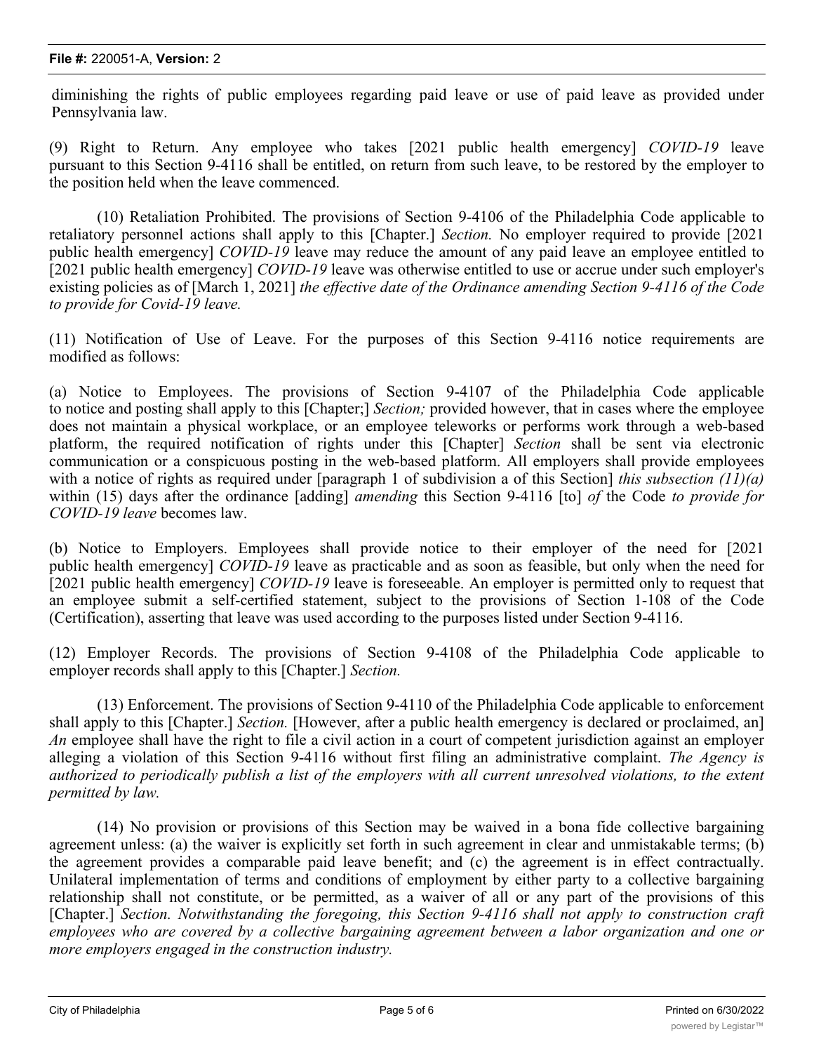diminishing the rights of public employees regarding paid leave or use of paid leave as provided under Pennsylvania law.

(9) Right to Return. Any employee who takes [2021 public health emergency] *COVID-19* leave pursuant to this Section 9-4116 shall be entitled, on return from such leave, to be restored by the employer to the position held when the leave commenced.

(10) Retaliation Prohibited. The provisions of Section 9-4106 of the Philadelphia Code applicable to retaliatory personnel actions shall apply to this [Chapter.] *Section.* No employer required to provide [2021 public health emergency] *COVID-19* leave may reduce the amount of any paid leave an employee entitled to [2021 public health emergency] *COVID-19* leave was otherwise entitled to use or accrue under such employer's existing policies as of [March 1, 2021] *the effective date of the Ordinance amending Section 9-4116 of the Code to provide for Covid-19 leave.*

(11) Notification of Use of Leave. For the purposes of this Section 9-4116 notice requirements are modified as follows:

(a) Notice to Employees. The provisions of Section 9-4107 of the Philadelphia Code applicable to notice and posting shall apply to this [Chapter;] *Section;* provided however, that in cases where the employee does not maintain a physical workplace, or an employee teleworks or performs work through a web-based platform, the required notification of rights under this [Chapter] *Section* shall be sent via electronic communication or a conspicuous posting in the web-based platform. All employers shall provide employees with a notice of rights as required under [paragraph 1 of subdivision a of this Section] *this subsection (11)(a)* within (15) days after the ordinance [adding] *amending* this Section 9-4116 [to] *of* the Code *to provide for COVID-19 leave* becomes law.

(b) Notice to Employers. Employees shall provide notice to their employer of the need for [2021 public health emergency] *COVID-19* leave as practicable and as soon as feasible, but only when the need for [2021 public health emergency] *COVID-19* leave is foreseeable. An employer is permitted only to request that an employee submit a self-certified statement, subject to the provisions of Section 1-108 of the Code (Certification), asserting that leave was used according to the purposes listed under Section 9-4116.

(12) Employer Records. The provisions of Section 9-4108 of the Philadelphia Code applicable to employer records shall apply to this [Chapter.] *Section.*

(13) Enforcement. The provisions of Section 9-4110 of the Philadelphia Code applicable to enforcement shall apply to this [Chapter.] *Section.* [However, after a public health emergency is declared or proclaimed, an] *An* employee shall have the right to file a civil action in a court of competent jurisdiction against an employer alleging a violation of this Section 9-4116 without first filing an administrative complaint. *The Agency is* authorized to periodically publish a list of the employers with all current unresolved violations, to the extent *permitted by law.*

(14) No provision or provisions of this Section may be waived in a bona fide collective bargaining agreement unless: (a) the waiver is explicitly set forth in such agreement in clear and unmistakable terms; (b) the agreement provides a comparable paid leave benefit; and (c) the agreement is in effect contractually. Unilateral implementation of terms and conditions of employment by either party to a collective bargaining relationship shall not constitute, or be permitted, as a waiver of all or any part of the provisions of this [Chapter.] *Section. Notwithstanding the foregoing, this Section 9-4116 shall not apply to construction craft employees who are covered by a collective bargaining agreement between a labor organization and one or more employers engaged in the construction industry.*